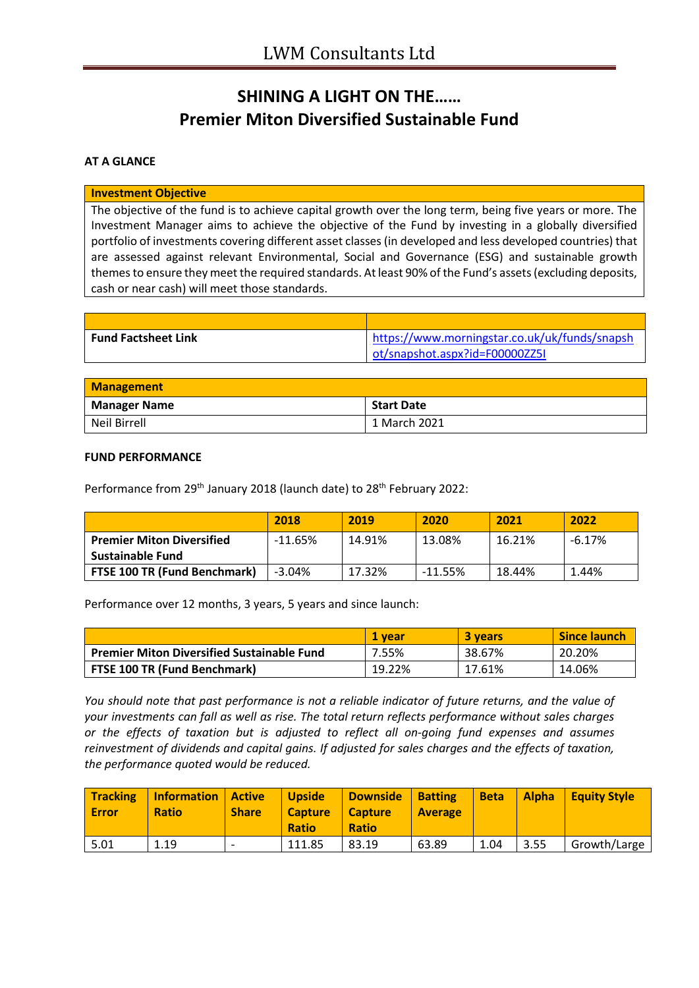## **SHINING A LIGHT ON THE…… Premier Miton Diversified Sustainable Fund**

## **AT A GLANCE**

#### **Investment Objective**

The objective of the fund is to achieve capital growth over the long term, being five years or more. The Investment Manager aims to achieve the objective of the Fund by investing in a globally diversified portfolio of investments covering different asset classes (in developed and less developed countries) that are assessed against relevant Environmental, Social and Governance (ESG) and sustainable growth themes to ensure they meet the required standards. At least 90% of the Fund's assets (excluding deposits, cash or near cash) will meet those standards.

| <b>Fund Factsheet Link</b> | https://www.morningstar.co.uk/uk/funds/snapsh |
|----------------------------|-----------------------------------------------|
|                            | ot/snapshot.aspx?id=F00000ZZ5I                |

| <b>Management</b>   |                   |
|---------------------|-------------------|
| <b>Manager Name</b> | <b>Start Date</b> |
| Neil Birrell        | 1 March 2021      |

#### **FUND PERFORMANCE**

Performance from 29<sup>th</sup> January 2018 (launch date) to 28<sup>th</sup> February 2022:

|                                     | 2018       | 2019   | 2020      | 2021   | 2022     |
|-------------------------------------|------------|--------|-----------|--------|----------|
| <b>Premier Miton Diversified</b>    | $-11.65\%$ | 14.91% | 13.08%    | 16.21% | $-6.17%$ |
| Sustainable Fund                    |            |        |           |        |          |
| <b>FTSE 100 TR (Fund Benchmark)</b> | $-3.04%$   | 17.32% | $-11.55%$ | 18.44% | 1.44%    |

Performance over 12 months, 3 years, 5 years and since launch:

|                                                   | 1 vear | <b>3 years</b> | <b>Since launch</b> |
|---------------------------------------------------|--------|----------------|---------------------|
| <b>Premier Miton Diversified Sustainable Fund</b> | 7.55%  | 38.67%         | 20.20%              |
| <b>FTSE 100 TR (Fund Benchmark)</b>               | 19.22% | 17.61%         | 14.06%              |

*You should note that past performance is not a reliable indicator of future returns, and the value of your investments can fall as well as rise. The total return reflects performance without sales charges or the effects of taxation but is adjusted to reflect all on-going fund expenses and assumes reinvestment of dividends and capital gains. If adjusted for sales charges and the effects of taxation, the performance quoted would be reduced.*

| <b>Tracking</b><br>Error | <b>Information</b><br><b>Ratio</b> | Active<br><b>Share</b>   | <b>Upside</b><br><b>Capture</b><br><b>Ratio</b> | <b>Downside</b><br><b>Capture</b><br><b>Ratio</b> | <b>Batting</b><br><b>Average</b> | Beta | Alpha | <b>Equity Style</b> |
|--------------------------|------------------------------------|--------------------------|-------------------------------------------------|---------------------------------------------------|----------------------------------|------|-------|---------------------|
| 5.01                     | 1.19                               | $\overline{\phantom{0}}$ | 111.85                                          | 83.19                                             | 63.89                            | 1.04 | 3.55  | Growth/Large        |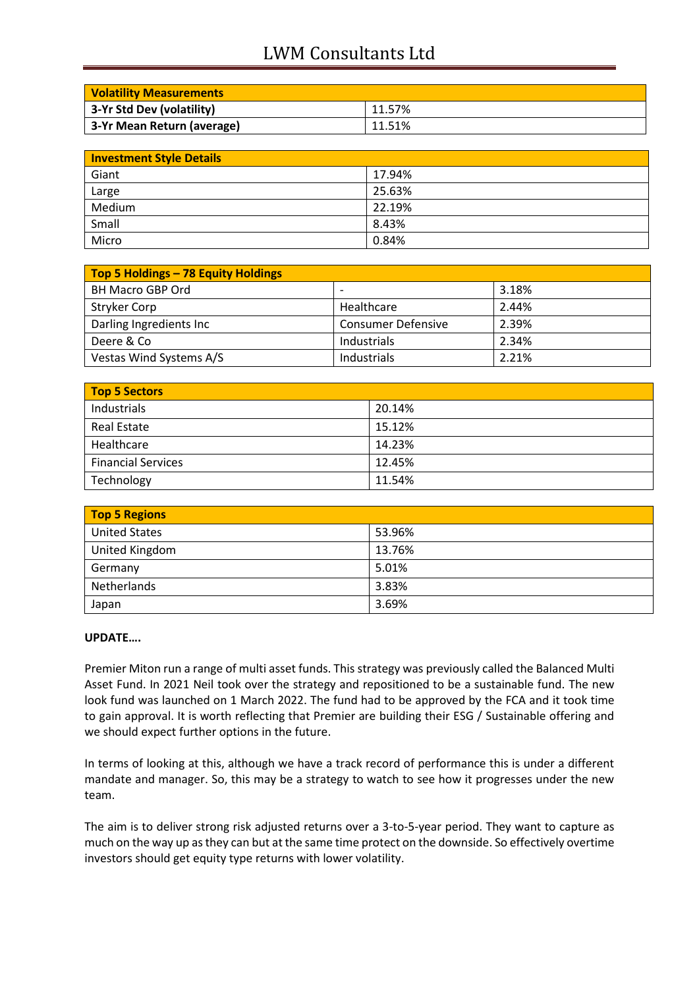# LWM Consultants Ltd

| <b>Volatility Measurements</b> |        |
|--------------------------------|--------|
| 3-Yr Std Dev (volatility)      | 11.57% |
| 3-Yr Mean Return (average)     | 11.51% |

| <b>Investment Style Details</b> |        |  |
|---------------------------------|--------|--|
| Giant                           | 17.94% |  |
| Large                           | 25.63% |  |
| Medium                          | 22.19% |  |
| Small                           | 8.43%  |  |
| Micro                           | 0.84%  |  |

| Top 5 Holdings - 78 Equity Holdings |                           |       |
|-------------------------------------|---------------------------|-------|
| <b>BH Macro GBP Ord</b>             |                           | 3.18% |
| <b>Stryker Corp</b>                 | Healthcare                | 2.44% |
| Darling Ingredients Inc             | <b>Consumer Defensive</b> | 2.39% |
| Deere & Co                          | Industrials               | 2.34% |
| Vestas Wind Systems A/S             | Industrials               | 2.21% |

| Top 5 Sectors             |        |
|---------------------------|--------|
| Industrials               | 20.14% |
| <b>Real Estate</b>        | 15.12% |
| Healthcare                | 14.23% |
| <b>Financial Services</b> | 12.45% |
| Technology                | 11.54% |

| <b>Top 5 Regions</b> |        |
|----------------------|--------|
| <b>United States</b> | 53.96% |
| United Kingdom       | 13.76% |
| Germany              | 5.01%  |
| Netherlands          | 3.83%  |
| Japan                | 3.69%  |

## **UPDATE….**

Premier Miton run a range of multi asset funds. This strategy was previously called the Balanced Multi Asset Fund. In 2021 Neil took over the strategy and repositioned to be a sustainable fund. The new look fund was launched on 1 March 2022. The fund had to be approved by the FCA and it took time to gain approval. It is worth reflecting that Premier are building their ESG / Sustainable offering and we should expect further options in the future.

In terms of looking at this, although we have a track record of performance this is under a different mandate and manager. So, this may be a strategy to watch to see how it progresses under the new team.

The aim is to deliver strong risk adjusted returns over a 3-to-5-year period. They want to capture as much on the way up as they can but at the same time protect on the downside. So effectively overtime investors should get equity type returns with lower volatility.